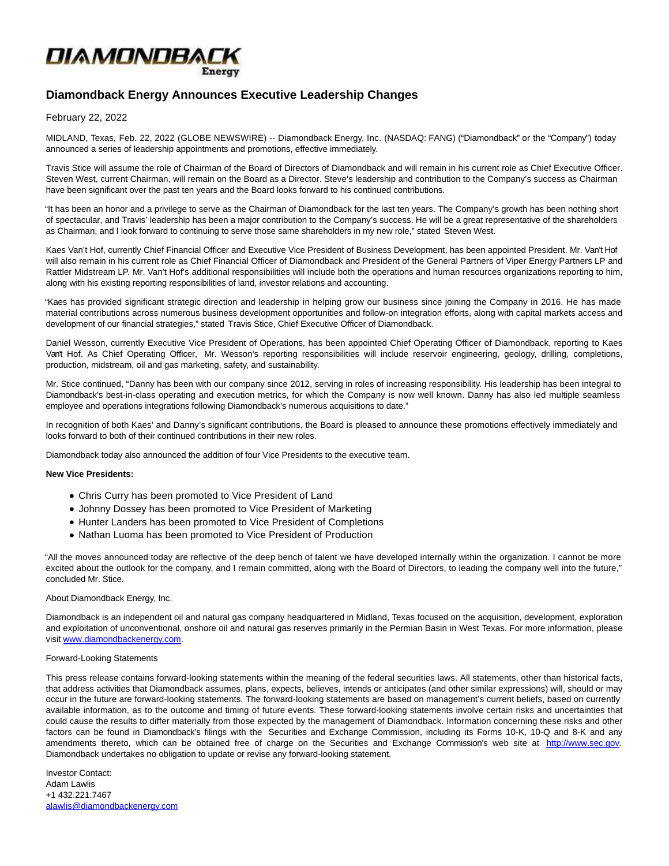

# **Diamondback Energy Announces Executive Leadership Changes**

## February 22, 2022

MIDLAND, Texas, Feb. 22, 2022 (GLOBE NEWSWIRE) -- Diamondback Energy, Inc. (NASDAQ: FANG) ("Diamondback" or the "Company") today announced a series of leadership appointments and promotions, effective immediately.

Travis Stice will assume the role of Chairman of the Board of Directors of Diamondback and will remain in his current role as Chief Executive Officer. Steven West, current Chairman, will remain on the Board as a Director. Steve's leadership and contribution to the Company's success as Chairman have been significant over the past ten years and the Board looks forward to his continued contributions.

"It has been an honor and a privilege to serve as the Chairman of Diamondback for the last ten years. The Company's growth has been nothing short of spectacular, and Travis' leadership has been a major contribution to the Company's success. He will be a great representative of the shareholders as Chairman, and I look forward to continuing to serve those same shareholders in my new role," stated Steven West.

Kaes Van't Hof, currently Chief Financial Officer and Executive Vice President of Business Development, has been appointed President. Mr. Van't Hof will also remain in his current role as Chief Financial Officer of Diamondback and President of the General Partners of Viper Energy Partners LP and Rattler Midstream LP. Mr. Van't Hof's additional responsibilities will include both the operations and human resources organizations reporting to him, along with his existing reporting responsibilities of land, investor relations and accounting.

"Kaes has provided significant strategic direction and leadership in helping grow our business since joining the Company in 2016. He has made material contributions across numerous business development opportunities and follow-on integration efforts, along with capital markets access and development of our financial strategies," stated Travis Stice, Chief Executive Officer of Diamondback.

Daniel Wesson, currently Executive Vice President of Operations, has been appointed Chief Operating Officer of Diamondback, reporting to Kaes Van't Hof. As Chief Operating Officer, Mr. Wesson's reporting responsibilities will include reservoir engineering, geology, drilling, completions, production, midstream, oil and gas marketing, safety, and sustainability.

Mr. Stice continued, "Danny has been with our company since 2012, serving in roles of increasing responsibility. His leadership has been integral to Diamondback's best-in-class operating and execution metrics, for which the Company is now well known. Danny has also led multiple seamless employee and operations integrations following Diamondback's numerous acquisitions to date."

In recognition of both Kaes' and Danny's significant contributions, the Board is pleased to announce these promotions effectively immediately and looks forward to both of their continued contributions in their new roles.

Diamondback today also announced the addition of four Vice Presidents to the executive team.

## **New Vice Presidents:**

- Chris Curry has been promoted to Vice President of Land
- Johnny Dossey has been promoted to Vice President of Marketing
- Hunter Landers has been promoted to Vice President of Completions
- Nathan Luoma has been promoted to Vice President of Production

"All the moves announced today are reflective of the deep bench of talent we have developed internally within the organization. I cannot be more excited about the outlook for the company, and I remain committed, along with the Board of Directors, to leading the company well into the future," concluded Mr. Stice.

### About Diamondback Energy, Inc.

Diamondback is an independent oil and natural gas company headquartered in Midland, Texas focused on the acquisition, development, exploration and exploitation of unconventional, onshore oil and natural gas reserves primarily in the Permian Basin in West Texas. For more information, please visit [www.diamondbackenergy.com.](https://www.globenewswire.com/Tracker?data=AJ_RfK5xWXZn50F6o04Fh9dKjluAEekJ0RL32XJai2YN_oH8RKRe2xjmhmeEb3pAopd0xzQFcO9AiEuWmrzn7i8xD5WirTQdVwRtT_xsRIA=) 

### Forward-Looking Statements

This press release contains forward-looking statements within the meaning of the federal securities laws. All statements, other than historical facts, that address activities that Diamondback assumes, plans, expects, believes, intends or anticipates (and other similar expressions) will, should or may occur in the future are forward-looking statements. The forward-looking statements are based on management's current beliefs, based on currently available information, as to the outcome and timing of future events. These forward-looking statements involve certain risks and uncertainties that could cause the results to differ materially from those expected by the management of Diamondback. Information concerning these risks and other factors can be found in Diamondback's filings with the Securities and Exchange Commission, including its Forms 10-K, 10-Q and 8-K and any amendments thereto, which can be obtained free of charge on the Securities and Exchange Commission's web site at [http://www.sec.gov.](https://www.globenewswire.com/Tracker?data=UDHndgeE6VKVl8mqY_tsVKYFVeVZ1LJffQQicvxr1VfE8JKHcaYxPz37k8rL6-YGX-zUzjBCtixnemDpBcdHAg==) Diamondback undertakes no obligation to update or revise any forward-looking statement.

Investor Contact: Adam Lawlis +1 432.221.7467 [alawlis@diamondbackenergy.com](https://www.globenewswire.com/Tracker?data=gpLLhsbkW_iEROpAUf-F6lpqDaN-IYQzO4X5OMKZFTsd-0Kv6bm4-fWUZzjNA8C0gBW1vkTxmiruk43naL1JsSnL0ad18IxMvNVv5_mse4TqF6d7HcCRAE1mNlXWssdK)